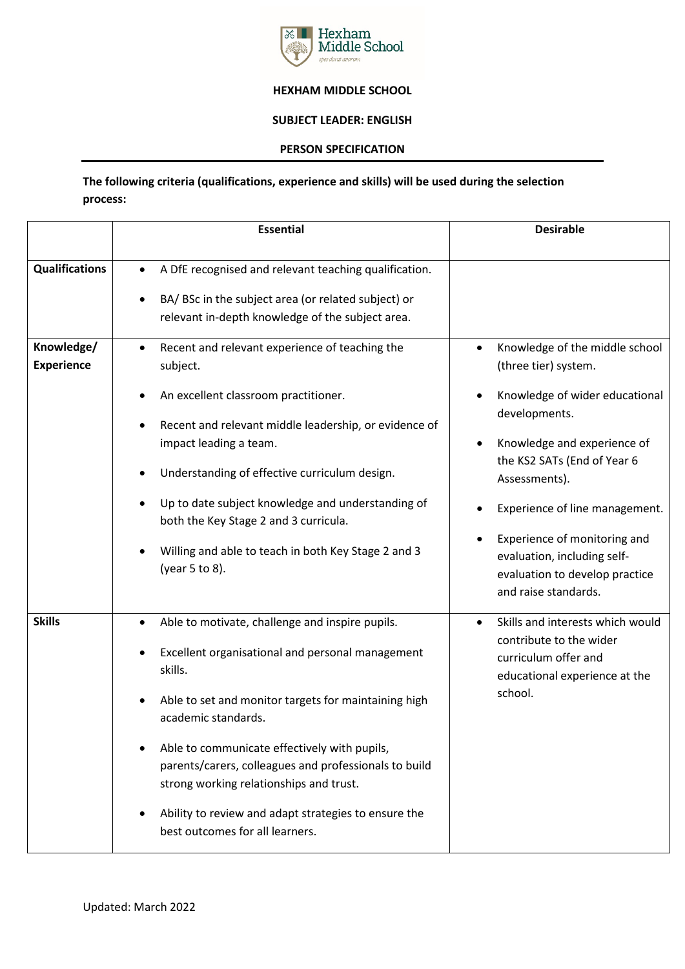

## **HEXHAM MIDDLE SCHOOL**

## **SUBJECT LEADER: ENGLISH**

## **PERSON SPECIFICATION**

## **The following criteria (qualifications, experience and skills) will be used during the selection process:**

|                                 | <b>Essential</b>                                                                                                                                                                                                                                                                                                                                                                                                                             | <b>Desirable</b>                                                                                                                                                                                                                                                                                                                                                   |
|---------------------------------|----------------------------------------------------------------------------------------------------------------------------------------------------------------------------------------------------------------------------------------------------------------------------------------------------------------------------------------------------------------------------------------------------------------------------------------------|--------------------------------------------------------------------------------------------------------------------------------------------------------------------------------------------------------------------------------------------------------------------------------------------------------------------------------------------------------------------|
| <b>Qualifications</b>           | A DfE recognised and relevant teaching qualification.<br>$\bullet$                                                                                                                                                                                                                                                                                                                                                                           |                                                                                                                                                                                                                                                                                                                                                                    |
|                                 | BA/ BSc in the subject area (or related subject) or<br>relevant in-depth knowledge of the subject area.                                                                                                                                                                                                                                                                                                                                      |                                                                                                                                                                                                                                                                                                                                                                    |
| Knowledge/<br><b>Experience</b> | Recent and relevant experience of teaching the<br>$\bullet$<br>subject.<br>An excellent classroom practitioner.<br>Recent and relevant middle leadership, or evidence of<br>impact leading a team.<br>Understanding of effective curriculum design.<br>Up to date subject knowledge and understanding of<br>both the Key Stage 2 and 3 curricula.<br>Willing and able to teach in both Key Stage 2 and 3<br>(year 5 to 8).                   | Knowledge of the middle school<br>$\bullet$<br>(three tier) system.<br>Knowledge of wider educational<br>$\bullet$<br>developments.<br>Knowledge and experience of<br>$\bullet$<br>the KS2 SATs (End of Year 6<br>Assessments).<br>Experience of line management.<br>Experience of monitoring and<br>evaluation, including self-<br>evaluation to develop practice |
| <b>Skills</b>                   | Able to motivate, challenge and inspire pupils.<br>Excellent organisational and personal management<br>skills.<br>Able to set and monitor targets for maintaining high<br>academic standards.<br>Able to communicate effectively with pupils,<br>parents/carers, colleagues and professionals to build<br>strong working relationships and trust.<br>Ability to review and adapt strategies to ensure the<br>best outcomes for all learners. | and raise standards.<br>Skills and interests which would<br>$\bullet$<br>contribute to the wider<br>curriculum offer and<br>educational experience at the<br>school.                                                                                                                                                                                               |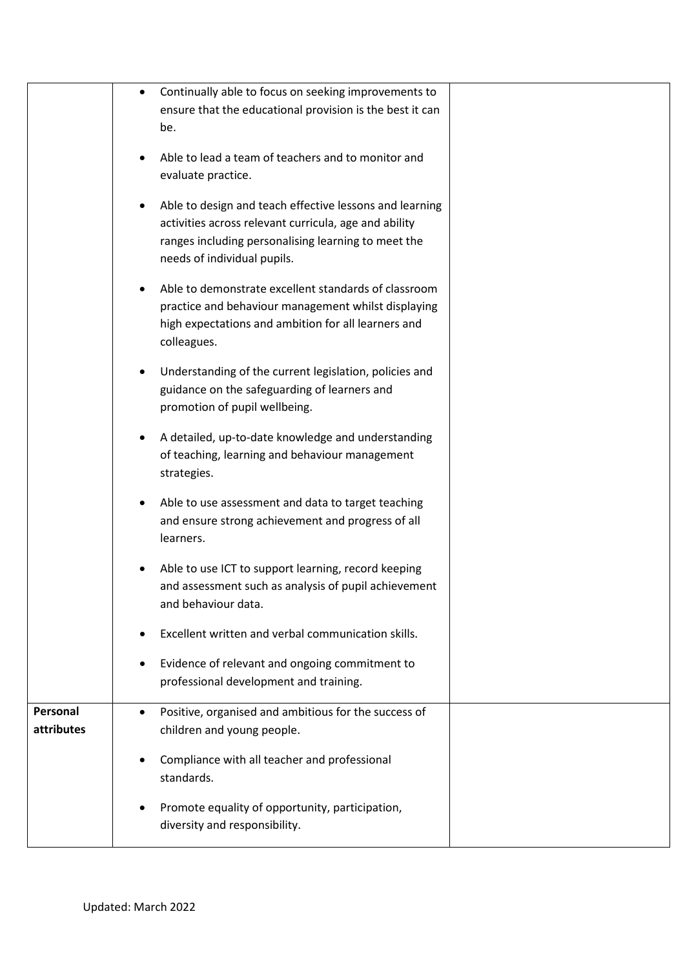|            | Continually able to focus on seeking improvements to<br>٠<br>ensure that the educational provision is the best it can<br>be.                                                                                |  |
|------------|-------------------------------------------------------------------------------------------------------------------------------------------------------------------------------------------------------------|--|
|            | Able to lead a team of teachers and to monitor and<br>evaluate practice.                                                                                                                                    |  |
|            | Able to design and teach effective lessons and learning<br>٠<br>activities across relevant curricula, age and ability<br>ranges including personalising learning to meet the<br>needs of individual pupils. |  |
|            | Able to demonstrate excellent standards of classroom<br>٠<br>practice and behaviour management whilst displaying<br>high expectations and ambition for all learners and<br>colleagues.                      |  |
|            | Understanding of the current legislation, policies and<br>٠<br>guidance on the safeguarding of learners and<br>promotion of pupil wellbeing.                                                                |  |
|            | A detailed, up-to-date knowledge and understanding<br>٠<br>of teaching, learning and behaviour management<br>strategies.                                                                                    |  |
|            | Able to use assessment and data to target teaching<br>$\bullet$<br>and ensure strong achievement and progress of all<br>learners.                                                                           |  |
|            | Able to use ICT to support learning, record keeping<br>٠<br>and assessment such as analysis of pupil achievement<br>and behaviour data.                                                                     |  |
|            | Excellent written and verbal communication skills.<br>٠                                                                                                                                                     |  |
|            | Evidence of relevant and ongoing commitment to<br>٠<br>professional development and training.                                                                                                               |  |
| Personal   | Positive, organised and ambitious for the success of<br>$\bullet$                                                                                                                                           |  |
| attributes | children and young people.                                                                                                                                                                                  |  |
|            | Compliance with all teacher and professional<br>٠<br>standards.                                                                                                                                             |  |
|            | Promote equality of opportunity, participation,<br>٠<br>diversity and responsibility.                                                                                                                       |  |